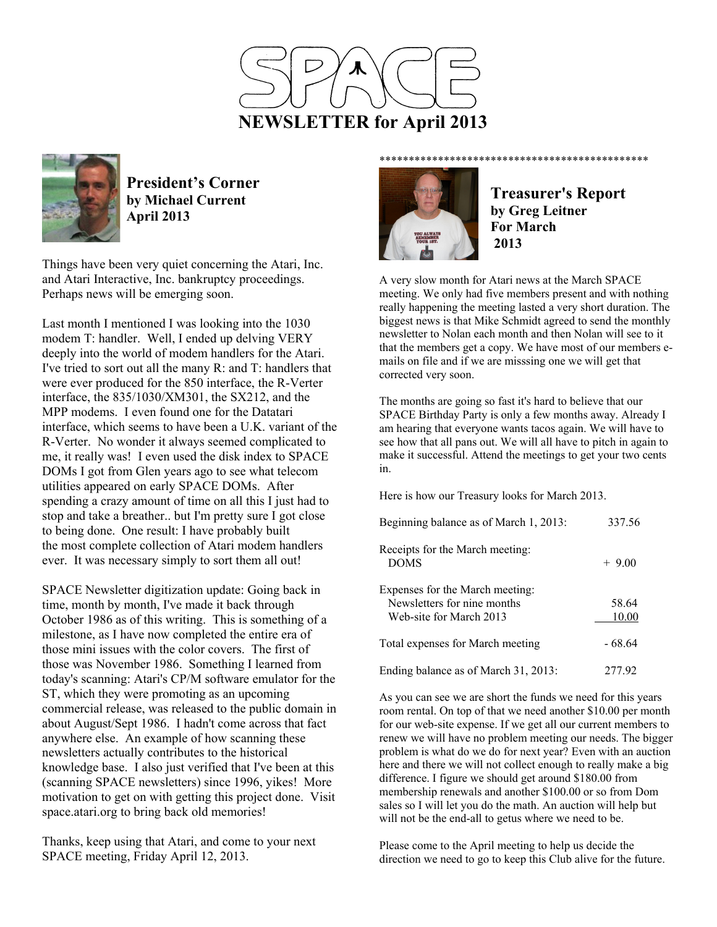



**President's Corner by Michael Current April 2013**

Things have been very quiet concerning the Atari, Inc. and Atari Interactive, Inc. bankruptcy proceedings. Perhaps news will be emerging soon.

Last month I mentioned I was looking into the 1030 modem T: handler. Well, I ended up delving VERY deeply into the world of modem handlers for the Atari. I've tried to sort out all the many R: and T: handlers that were ever produced for the 850 interface, the R-Verter interface, the 835/1030/XM301, the SX212, and the MPP modems. I even found one for the Datatari interface, which seems to have been a U.K. variant of the R-Verter. No wonder it always seemed complicated to me, it really was! I even used the disk index to SPACE DOMs I got from Glen years ago to see what telecom utilities appeared on early SPACE DOMs. After spending a crazy amount of time on all this I just had to stop and take a breather.. but I'm pretty sure I got close to being done. One result: I have probably built the most complete collection of Atari modem handlers ever. It was necessary simply to sort them all out!

SPACE Newsletter digitization update: Going back in time, month by month, I've made it back through October 1986 as of this writing. This is something of a milestone, as I have now completed the entire era of those mini issues with the color covers. The first of those was November 1986. Something I learned from today's scanning: Atari's CP/M software emulator for the ST, which they were promoting as an upcoming commercial release, was released to the public domain in about August/Sept 1986. I hadn't come across that fact anywhere else. An example of how scanning these newsletters actually contributes to the historical knowledge base. I also just verified that I've been at this (scanning SPACE newsletters) since 1996, yikes! More motivation to get on with getting this project done. Visit space.atari.org to bring back old memories!

Thanks, keep using that Atari, and come to your next SPACE meeting, Friday April 12, 2013.



**Treasurer's Report by Greg Leitner For March 2013** 

A very slow month for Atari news at the March SPACE meeting. We only had five members present and with nothing really happening the meeting lasted a very short duration. The biggest news is that Mike Schmidt agreed to send the monthly newsletter to Nolan each month and then Nolan will see to it that the members get a copy. We have most of our members emails on file and if we are misssing one we will get that corrected very soon.

The months are going so fast it's hard to believe that our SPACE Birthday Party is only a few months away. Already I am hearing that everyone wants tacos again. We will have to see how that all pans out. We will all have to pitch in again to make it successful. Attend the meetings to get your two cents in.

Here is how our Treasury looks for March 2013.

| Beginning balance as of March 1, 2013:                                                    | 337.56         |
|-------------------------------------------------------------------------------------------|----------------|
| Receipts for the March meeting:<br><b>DOMS</b>                                            | $+9.00$        |
| Expenses for the March meeting:<br>Newsletters for nine months<br>Web-site for March 2013 | 58.64<br>10.00 |
| Total expenses for March meeting                                                          | - 68.64        |
| Ending balance as of March 31, 2013:                                                      | 277 92         |

As you can see we are short the funds we need for this years room rental. On top of that we need another \$10.00 per month for our web-site expense. If we get all our current members to renew we will have no problem meeting our needs. The bigger problem is what do we do for next year? Even with an auction here and there we will not collect enough to really make a big difference. I figure we should get around \$180.00 from membership renewals and another \$100.00 or so from Dom sales so I will let you do the math. An auction will help but will not be the end-all to getus where we need to be.

Please come to the April meeting to help us decide the direction we need to go to keep this Club alive for the future.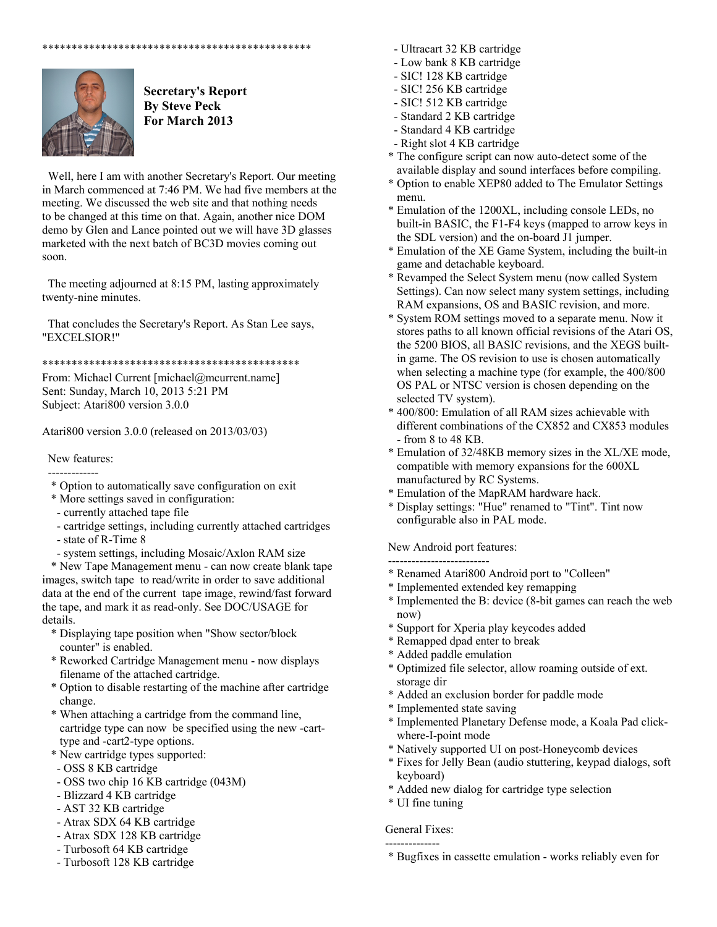



 **Secretary's Report By Steve Peck For March 2013** 

 Well, here I am with another Secretary's Report. Our meeting in March commenced at 7:46 PM. We had five members at the meeting. We discussed the web site and that nothing needs to be changed at this time on that. Again, another nice DOM demo by Glen and Lance pointed out we will have 3D glasses marketed with the next batch of BC3D movies coming out soon.

 The meeting adjourned at 8:15 PM, lasting approximately twenty-nine minutes.

 That concludes the Secretary's Report. As Stan Lee says, "EXCELSIOR!"

\*\*\*\*\*\*\*\*\*\*\*\*\*\*\*\*\*\*\*\*\*\*\*\*\*\*\*\*\*\*\*\*\*\*\*\*\*\*\*\*\*\*\*\*

From: Michael Current [michael@mcurrent.name] Sent: Sunday, March 10, 2013 5:21 PM Subject: Atari800 version 3.0.0

Atari800 version 3.0.0 (released on 2013/03/03)

# New features:

-------------

- \* Option to automatically save configuration on exit
- \* More settings saved in configuration:
- currently attached tape file
- cartridge settings, including currently attached cartridges - state of R-Time 8
- system settings, including Mosaic/Axlon RAM size

 \* New Tape Management menu - can now create blank tape images, switch tape to read/write in order to save additional data at the end of the current tape image, rewind/fast forward the tape, and mark it as read-only. See DOC/USAGE for details.

- \* Displaying tape position when "Show sector/block counter" is enabled.
- \* Reworked Cartridge Management menu now displays filename of the attached cartridge.
- \* Option to disable restarting of the machine after cartridge change.
- \* When attaching a cartridge from the command line, cartridge type can now be specified using the new -cart type and -cart2-type options.
- \* New cartridge types supported:
- OSS 8 KB cartridge
- OSS two chip 16 KB cartridge (043M)
- Blizzard 4 KB cartridge
- AST 32 KB cartridge
- Atrax SDX 64 KB cartridge
- Atrax SDX 128 KB cartridge
- Turbosoft 64 KB cartridge
- Turbosoft 128 KB cartridge
- Ultracart 32 KB cartridge
- Low bank 8 KB cartridge
- SIC! 128 KB cartridge
- SIC! 256 KB cartridge
- SIC! 512 KB cartridge
- Standard 2 KB cartridge
- Standard 4 KB cartridge
- Right slot 4 KB cartridge
- \* The configure script can now auto-detect some of the available display and sound interfaces before compiling.
- \* Option to enable XEP80 added to The Emulator Settings menu.
- \* Emulation of the 1200XL, including console LEDs, no built-in BASIC, the F1-F4 keys (mapped to arrow keys in the SDL version) and the on-board J1 jumper.
- \* Emulation of the XE Game System, including the built-in game and detachable keyboard.
- \* Revamped the Select System menu (now called System Settings). Can now select many system settings, including RAM expansions, OS and BASIC revision, and more.
- \* System ROM settings moved to a separate menu. Now it stores paths to all known official revisions of the Atari OS, the 5200 BIOS, all BASIC revisions, and the XEGS built in game. The OS revision to use is chosen automatically when selecting a machine type (for example, the 400/800 OS PAL or NTSC version is chosen depending on the selected TV system).
- \* 400/800: Emulation of all RAM sizes achievable with different combinations of the CX852 and CX853 modules - from 8 to 48 KB.
- \* Emulation of 32/48KB memory sizes in the XL/XE mode, compatible with memory expansions for the 600XL manufactured by RC Systems.
- \* Emulation of the MapRAM hardware hack.
- \* Display settings: "Hue" renamed to "Tint". Tint now configurable also in PAL mode.

New Android port features:

- -------------------------- \* Renamed Atari800 Android port to "Colleen"
	- \* Implemented extended key remapping
- \* Implemented the B: device (8-bit games can reach the web now)
- \* Support for Xperia play keycodes added
- \* Remapped dpad enter to break
- \* Added paddle emulation
- \* Optimized file selector, allow roaming outside of ext. storage dir
- \* Added an exclusion border for paddle mode
- \* Implemented state saving
- \* Implemented Planetary Defense mode, a Koala Pad click where-I-point mode
- \* Natively supported UI on post-Honeycomb devices
- \* Fixes for Jelly Bean (audio stuttering, keypad dialogs, soft keyboard)
- \* Added new dialog for cartridge type selection
- \* UI fine tuning

### General Fixes: --------------

\* Bugfixes in cassette emulation - works reliably even for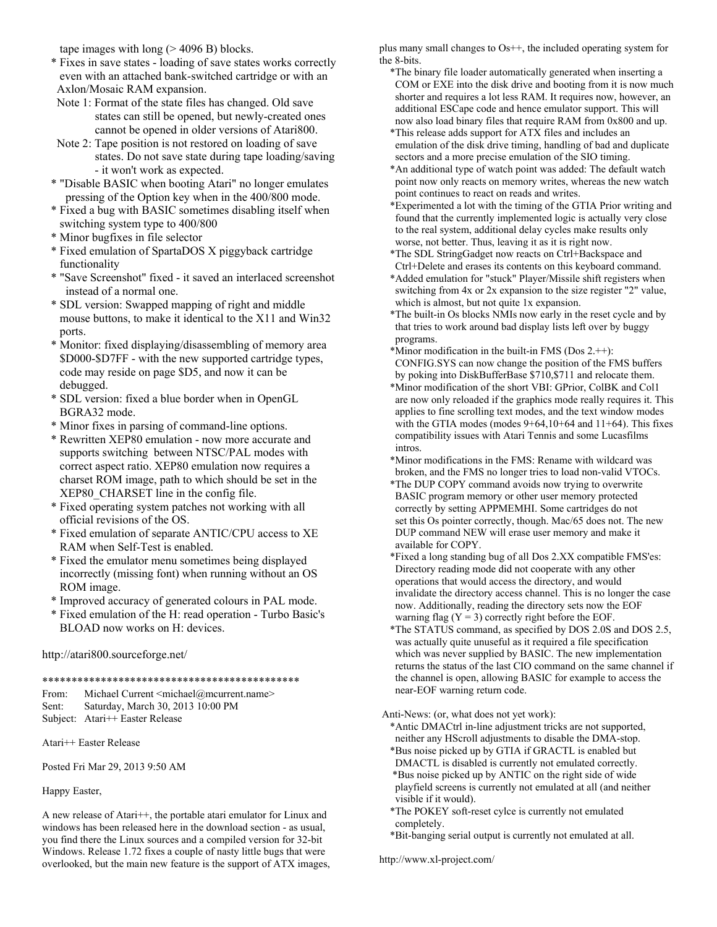tape images with long  $(> 4096 B)$  blocks.

- \* Fixes in save states loading of save states works correctly even with an attached bank-switched cartridge or with an Axlon/Mosaic RAM expansion.
- Note 1: Format of the state files has changed. Old save states can still be opened, but newly-created ones cannot be opened in older versions of Atari800.
- Note 2: Tape position is not restored on loading of save states. Do not save state during tape loading/saving - it won't work as expected.
- \* "Disable BASIC when booting Atari" no longer emulates pressing of the Option key when in the 400/800 mode.
- \* Fixed a bug with BASIC sometimes disabling itself when switching system type to 400/800
- \* Minor bugfixes in file selector
- \* Fixed emulation of SpartaDOS X piggyback cartridge functionality
- \* "Save Screenshot" fixed it saved an interlaced screenshot instead of a normal one.
- \* SDL version: Swapped mapping of right and middle mouse buttons, to make it identical to the X11 and Win32 ports.
- \* Monitor: fixed displaying/disassembling of memory area \$D000-\$D7FF - with the new supported cartridge types, code may reside on page \$D5, and now it can be debugged.
- \* SDL version: fixed a blue border when in OpenGL BGRA32 mode.
- \* Minor fixes in parsing of command-line options.
- \* Rewritten XEP80 emulation now more accurate and supports switching between NTSC/PAL modes with correct aspect ratio. XEP80 emulation now requires a charset ROM image, path to which should be set in the XEP80\_CHARSET line in the config file.
- \* Fixed operating system patches not working with all official revisions of the OS.
- \* Fixed emulation of separate ANTIC/CPU access to XE RAM when Self-Test is enabled.
- \* Fixed the emulator menu sometimes being displayed incorrectly (missing font) when running without an OS ROM image.
- \* Improved accuracy of generated colours in PAL mode.
- \* Fixed emulation of the H: read operation Turbo Basic's BLOAD now works on H: devices.

## http://atari800.sourceforge.net/

\*\*\*\*\*\*\*\*\*\*\*\*\*\*\*\*\*\*\*\*\*\*\*\*\*\*\*\*\*\*\*\*\*\*\*\*\*\*\*\*\*\*\*\*

From: Michael Current <michael@mcurrent.name> Sent: Saturday, March 30, 2013 10:00 PM

Subject: Atari++ Easter Release

Atari++ Easter Release

Posted Fri Mar 29, 2013 9:50 AM

Happy Easter,

A new release of Atari++, the portable atari emulator for Linux and windows has been released here in the download section - as usual, you find there the Linux sources and a compiled version for 32-bit Windows. Release 1.72 fixes a couple of nasty little bugs that were overlooked, but the main new feature is the support of ATX images, plus many small changes to Os++, the included operating system for the 8-bits.

- \*The binary file loader automatically generated when inserting a COM or EXE into the disk drive and booting from it is now much shorter and requires a lot less RAM. It requires now, however, an additional ESCape code and hence emulator support. This will now also load binary files that require RAM from 0x800 and up.
- \*This release adds support for ATX files and includes an emulation of the disk drive timing, handling of bad and duplicate sectors and a more precise emulation of the SIO timing.
- \*An additional type of watch point was added: The default watch point now only reacts on memory writes, whereas the new watch point continues to react on reads and writes.
- \*Experimented a lot with the timing of the GTIA Prior writing and found that the currently implemented logic is actually very close to the real system, additional delay cycles make results only worse, not better. Thus, leaving it as it is right now.
- \*The SDL StringGadget now reacts on Ctrl+Backspace and Ctrl+Delete and erases its contents on this keyboard command.
- \*Added emulation for "stuck" Player/Missile shift registers when switching from 4x or 2x expansion to the size register "2" value, which is almost, but not quite 1x expansion.
- \*The built-in Os blocks NMIs now early in the reset cycle and by that tries to work around bad display lists left over by buggy programs.
- \*Minor modification in the built-in FMS (Dos 2.++): CONFIG.SYS can now change the position of the FMS buffers by poking into DiskBufferBase \$710,\$711 and relocate them.
- \*Minor modification of the short VBI: GPrior, ColBK and Col1 are now only reloaded if the graphics mode really requires it. This applies to fine scrolling text modes, and the text window modes with the GTIA modes (modes  $9+64,10+64$  and  $11+64$ ). This fixes compatibility issues with Atari Tennis and some Lucasfilms intros.
- \*Minor modifications in the FMS: Rename with wildcard was broken, and the FMS no longer tries to load non-valid VTOCs.
- \*The DUP COPY command avoids now trying to overwrite BASIC program memory or other user memory protected correctly by setting APPMEMHI. Some cartridges do not set this Os pointer correctly, though. Mac/65 does not. The new DUP command NEW will erase user memory and make it available for COPY.
- \*Fixed a long standing bug of all Dos 2.XX compatible FMS'es: Directory reading mode did not cooperate with any other operations that would access the directory, and would invalidate the directory access channel. This is no longer the case now. Additionally, reading the directory sets now the EOF warning flag  $(Y = 3)$  correctly right before the EOF.
- \*The STATUS command, as specified by DOS 2.0S and DOS 2.5, was actually quite unuseful as it required a file specification which was never supplied by BASIC. The new implementation returns the status of the last CIO command on the same channel if the channel is open, allowing BASIC for example to access the near-EOF warning return code.

Anti-News: (or, what does not yet work):

- \*Antic DMACtrl in-line adjustment tricks are not supported, neither any HScroll adjustments to disable the DMA-stop.
- \*Bus noise picked up by GTIA if GRACTL is enabled but DMACTL is disabled is currently not emulated correctly. \*Bus noise picked up by ANTIC on the right side of wide playfield screens is currently not emulated at all (and neither
- visible if it would). \*The POKEY soft-reset cylce is currently not emulated completely.
- \*Bit-banging serial output is currently not emulated at all.

http://www.xl-project.com/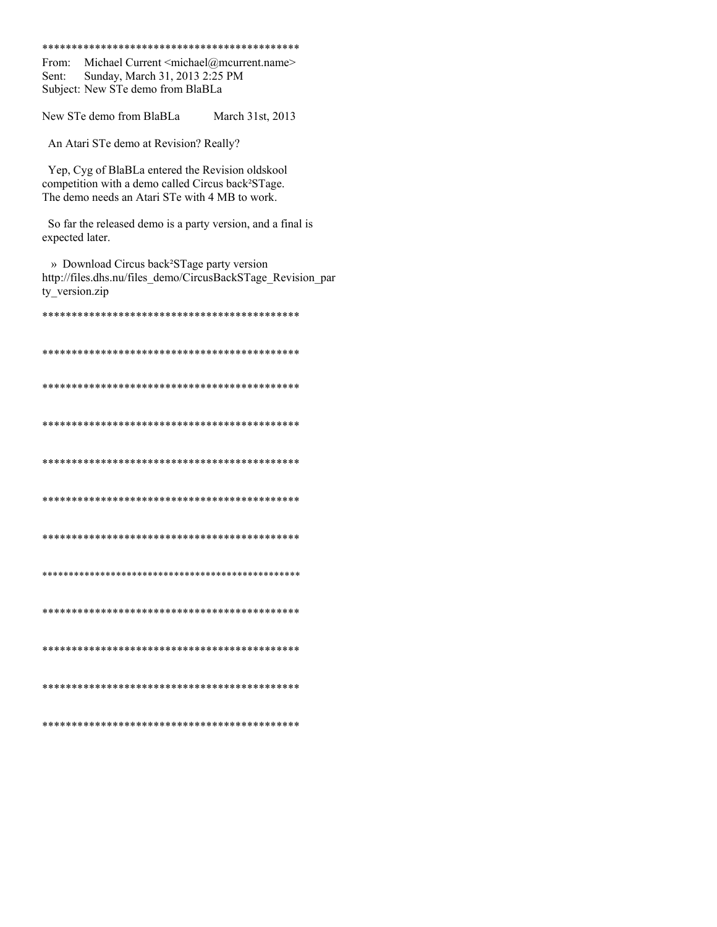#### 

From: Michael Current <michael@mcurrent.name> Sent: Sunday, March 31, 2013 2:25 PM Subject: New STe demo from BlaBLa

New STe demo from BlaBLa March 31st, 2013

An Atari STe demo at Revision? Really?

Yep, Cyg of BlaBLa entered the Revision oldskool competition with a demo called Circus back<sup>2</sup>STage. The demo needs an Atari STe with 4 MB to work.

So far the released demo is a party version, and a final is expected later.

» Download Circus back<sup>2</sup>STage party version http://files.dhs.nu/files\_demo/CircusBackSTage\_Revision\_par ty\_version.zip